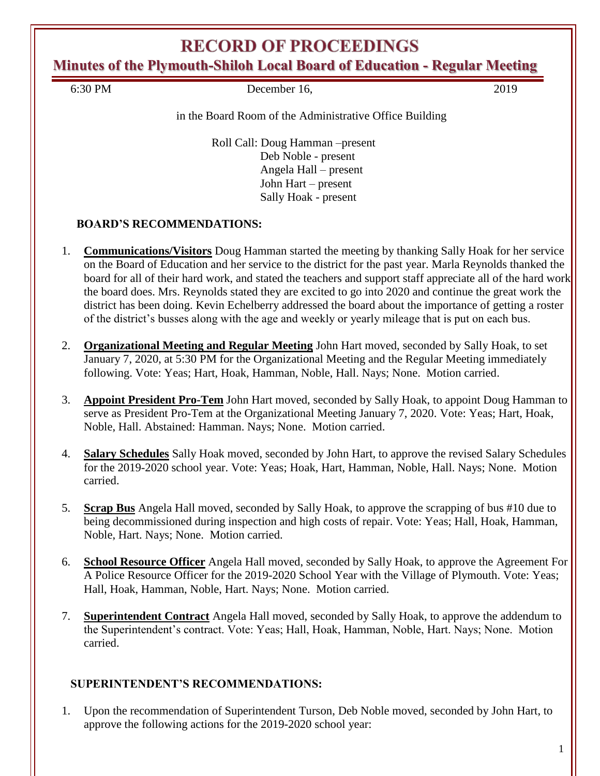# **RECORD OF PROCEEDINGS**

**Minutes of the Plymouth-Shiloh Local Board of Education - Regular Meeting**

6:30 PM December 16, 2019

#### in the Board Room of the Administrative Office Building

Roll Call: Doug Hamman –present Deb Noble - present Angela Hall – present John Hart – present Sally Hoak - present

## **BOARD'S RECOMMENDATIONS:**

- 1. **Communications/Visitors** Doug Hamman started the meeting by thanking Sally Hoak for her service on the Board of Education and her service to the district for the past year. Marla Reynolds thanked the board for all of their hard work, and stated the teachers and support staff appreciate all of the hard work the board does. Mrs. Reynolds stated they are excited to go into 2020 and continue the great work the district has been doing. Kevin Echelberry addressed the board about the importance of getting a roster of the district's busses along with the age and weekly or yearly mileage that is put on each bus.
- 2. **Organizational Meeting and Regular Meeting** John Hart moved, seconded by Sally Hoak, to set January 7, 2020, at 5:30 PM for the Organizational Meeting and the Regular Meeting immediately following. Vote: Yeas; Hart, Hoak, Hamman, Noble, Hall. Nays; None. Motion carried.
- 3. **Appoint President Pro-Tem** John Hart moved, seconded by Sally Hoak, to appoint Doug Hamman to serve as President Pro-Tem at the Organizational Meeting January 7, 2020. Vote: Yeas; Hart, Hoak, Noble, Hall. Abstained: Hamman. Nays; None. Motion carried.
- 4. **Salary Schedules** Sally Hoak moved, seconded by John Hart, to approve the revised Salary Schedules for the 2019-2020 school year. Vote: Yeas; Hoak, Hart, Hamman, Noble, Hall. Nays; None. Motion carried.
- 5. **Scrap Bus** Angela Hall moved, seconded by Sally Hoak, to approve the scrapping of bus #10 due to being decommissioned during inspection and high costs of repair. Vote: Yeas; Hall, Hoak, Hamman, Noble, Hart. Nays; None. Motion carried.
- 6. **School Resource Officer** Angela Hall moved, seconded by Sally Hoak, to approve the Agreement For A Police Resource Officer for the 2019-2020 School Year with the Village of Plymouth. Vote: Yeas; Hall, Hoak, Hamman, Noble, Hart. Nays; None. Motion carried.
- 7. **Superintendent Contract** Angela Hall moved, seconded by Sally Hoak, to approve the addendum to the Superintendent's contract. Vote: Yeas; Hall, Hoak, Hamman, Noble, Hart. Nays; None. Motion carried.

### **SUPERINTENDENT'S RECOMMENDATIONS:**

1. Upon the recommendation of Superintendent Turson, Deb Noble moved, seconded by John Hart, to approve the following actions for the 2019-2020 school year: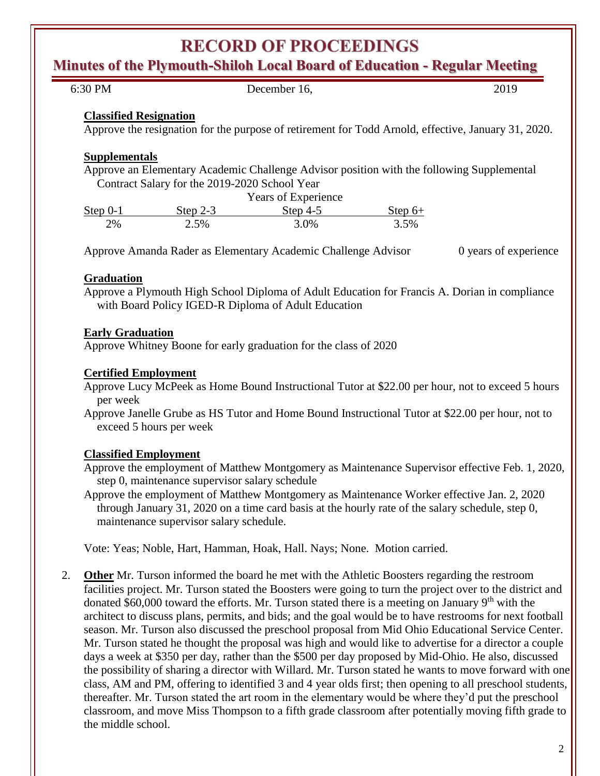# **RECORD OF PROCEEDINGS**

**Minutes of the Plymouth-Shiloh Local Board of Education - Regular Meeting**

| 6:30 PM                       |                                                | December 16,                                                                                                                                                                                                                |           | 2019                  |
|-------------------------------|------------------------------------------------|-----------------------------------------------------------------------------------------------------------------------------------------------------------------------------------------------------------------------------|-----------|-----------------------|
| <b>Classified Resignation</b> |                                                |                                                                                                                                                                                                                             |           |                       |
|                               |                                                | Approve the resignation for the purpose of retirement for Todd Arnold, effective, January 31, 2020.                                                                                                                         |           |                       |
| <b>Supplementals</b>          |                                                |                                                                                                                                                                                                                             |           |                       |
|                               | Contract Salary for the 2019-2020 School Year  | Approve an Elementary Academic Challenge Advisor position with the following Supplemental                                                                                                                                   |           |                       |
|                               |                                                | Years of Experience                                                                                                                                                                                                         |           |                       |
| Step $0-1$                    | Step $2-3$                                     | Step $4-5$                                                                                                                                                                                                                  | $Step 6+$ |                       |
| 2%                            | 2.5%                                           | 3.0%                                                                                                                                                                                                                        | 3.5%      |                       |
|                               |                                                | Approve Amanda Rader as Elementary Academic Challenge Advisor                                                                                                                                                               |           | 0 years of experience |
| Graduation                    |                                                |                                                                                                                                                                                                                             |           |                       |
|                               |                                                | Approve a Plymouth High School Diploma of Adult Education for Francis A. Dorian in compliance                                                                                                                               |           |                       |
|                               |                                                | with Board Policy IGED-R Diploma of Adult Education                                                                                                                                                                         |           |                       |
|                               |                                                |                                                                                                                                                                                                                             |           |                       |
| <b>Early Graduation</b>       |                                                | Approve Whitney Boone for early graduation for the class of 2020                                                                                                                                                            |           |                       |
|                               |                                                |                                                                                                                                                                                                                             |           |                       |
| <b>Certified Employment</b>   |                                                |                                                                                                                                                                                                                             |           |                       |
| per week                      |                                                | Approve Lucy McPeek as Home Bound Instructional Tutor at \$22.00 per hour, not to exceed 5 hours                                                                                                                            |           |                       |
|                               |                                                | Approve Janelle Grube as HS Tutor and Home Bound Instructional Tutor at \$22.00 per hour, not to                                                                                                                            |           |                       |
|                               | exceed 5 hours per week                        |                                                                                                                                                                                                                             |           |                       |
| <b>Classified Employment</b>  |                                                |                                                                                                                                                                                                                             |           |                       |
|                               |                                                |                                                                                                                                                                                                                             |           |                       |
|                               |                                                | Approve the employment of Matthew Montgomery as Maintenance Supervisor effective Feb. 1, 2020,                                                                                                                              |           |                       |
|                               | step 0, maintenance supervisor salary schedule |                                                                                                                                                                                                                             |           |                       |
|                               |                                                | Approve the employment of Matthew Montgomery as Maintenance Worker effective Jan. 2, 2020<br>through January 31, 2020 on a time card basis at the hourly rate of the salary schedule, step 0,                               |           |                       |
|                               | maintenance supervisor salary schedule.        |                                                                                                                                                                                                                             |           |                       |
|                               |                                                | Vote: Yeas; Noble, Hart, Hamman, Hoak, Hall. Nays; None. Motion carried.                                                                                                                                                    |           |                       |
|                               |                                                | <b>Other</b> Mr. Turson informed the board he met with the Athletic Boosters regarding the restroom                                                                                                                         |           |                       |
|                               |                                                | facilities project. Mr. Turson stated the Boosters were going to turn the project over to the district and<br>donated \$60,000 toward the efforts. Mr. Turson stated there is a meeting on January 9 <sup>th</sup> with the |           |                       |

architect to discuss plans, permits, and bids; and the goal would be to have restrooms for next football season. Mr. Turson also discussed the preschool proposal from Mid Ohio Educational Service Center. Mr. Turson stated he thought the proposal was high and would like to advertise for a director a couple days a week at \$350 per day, rather than the \$500 per day proposed by Mid-Ohio. He also, discussed the possibility of sharing a director with Willard. Mr. Turson stated he wants to move forward with one class, AM and PM, offering to identified 3 and 4 year olds first; then opening to all preschool students, thereafter. Mr. Turson stated the art room in the elementary would be where they'd put the preschool classroom, and move Miss Thompson to a fifth grade classroom after potentially moving fifth grade to the middle school.